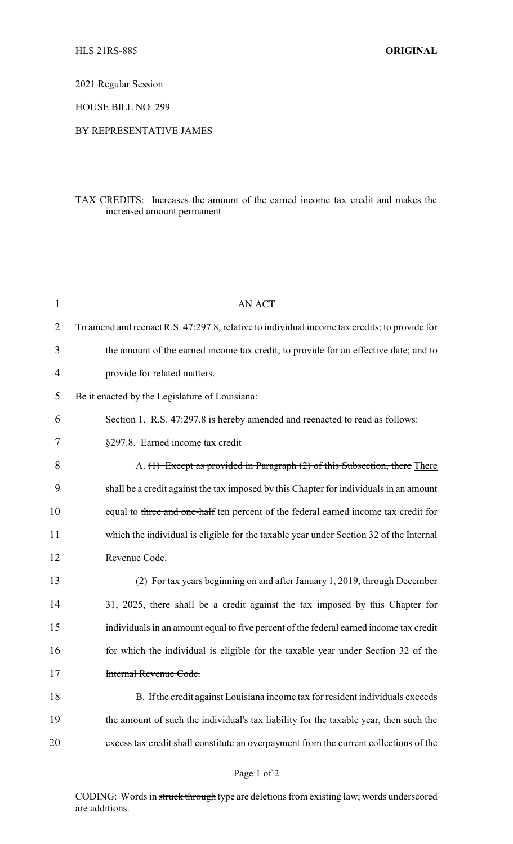2021 Regular Session

HOUSE BILL NO. 299

## BY REPRESENTATIVE JAMES

## TAX CREDITS: Increases the amount of the earned income tax credit and makes the increased amount permanent

| 1  | AN ACT                                                                                        |
|----|-----------------------------------------------------------------------------------------------|
| 2  | To amend and reenact R.S. 47:297.8, relative to individual income tax credits; to provide for |
| 3  | the amount of the earned income tax credit; to provide for an effective date; and to          |
| 4  | provide for related matters.                                                                  |
| 5  | Be it enacted by the Legislature of Louisiana:                                                |
| 6  | Section 1. R.S. 47:297.8 is hereby amended and reenacted to read as follows:                  |
| 7  | §297.8. Earned income tax credit                                                              |
| 8  | A. (1) Except as provided in Paragraph (2) of this Subsection, there There                    |
| 9  | shall be a credit against the tax imposed by this Chapter for individuals in an amount        |
| 10 | equal to three and one-half ten percent of the federal earned income tax credit for           |
| 11 | which the individual is eligible for the taxable year under Section 32 of the Internal        |
| 12 | Revenue Code.                                                                                 |
| 13 | (2) For tax years beginning on and after January 1, 2019, through December                    |
| 14 | 31, 2025, there shall be a credit against the tax imposed by this Chapter for                 |
| 15 | individuals in an amount equal to five percent of the federal earned income tax credit        |
| 16 | for which the individual is eligible for the taxable year under Section 32 of the             |
| 17 | Internal Revenue Code.                                                                        |
| 18 | B. If the credit against Louisiana income tax for resident individuals exceeds                |
| 19 | the amount of such the individual's tax liability for the taxable year, then such the         |
| 20 | excess tax credit shall constitute an overpayment from the current collections of the         |

CODING: Words in struck through type are deletions from existing law; words underscored are additions.